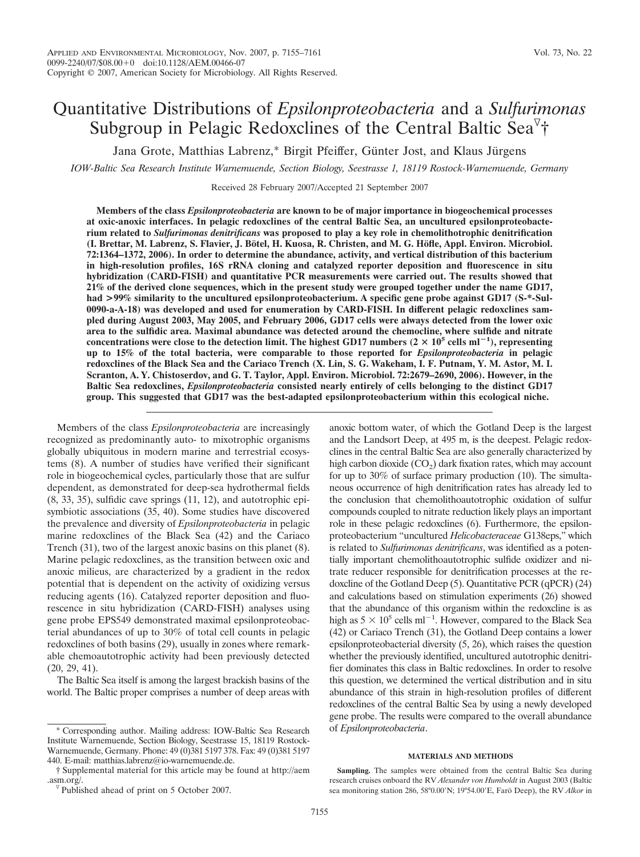# Quantitative Distributions of *Epsilonproteobacteria* and a *Sulfurimonas* Subgroup in Pelagic Redoxclines of the Central Baltic Sea<sup> $\triangledown$ </sup>†

Jana Grote, Matthias Labrenz,\* Birgit Pfeiffer, Günter Jost, and Klaus Jürgens

*IOW-Baltic Sea Research Institute Warnemuende, Section Biology, Seestrasse 1, 18119 Rostock-Warnemuende, Germany*

Received 28 February 2007/Accepted 21 September 2007

**Members of the class** *Epsilonproteobacteria* **are known to be of major importance in biogeochemical processes at oxic-anoxic interfaces. In pelagic redoxclines of the central Baltic Sea, an uncultured epsilonproteobacterium related to** *Sulfurimonas denitrificans* **was proposed to play a key role in chemolithotrophic denitrification (I. Brettar, M. Labrenz, S. Flavier, J. Bo¨tel, H. Kuosa, R. Christen, and M. G. Ho¨fle, Appl. Environ. Microbiol. 72:1364–1372, 2006). In order to determine the abundance, activity, and vertical distribution of this bacterium in high-resolution profiles, 16S rRNA cloning and catalyzed reporter deposition and fluorescence in situ hybridization (CARD-FISH) and quantitative PCR measurements were carried out. The results showed that 21% of the derived clone sequences, which in the present study were grouped together under the name GD17,** had >99% similarity to the uncultured epsilonproteobacterium. A specific gene probe against GD17 (S-\*-Sul-**0090-a-A-18) was developed and used for enumeration by CARD-FISH. In different pelagic redoxclines sampled during August 2003, May 2005, and February 2006, GD17 cells were always detected from the lower oxic area to the sulfidic area. Maximal abundance was detected around the chemocline, where sulfide and nitrate** concentrations were close to the detection limit. The highest GD17 numbers ( $2 \times 10^5$  cells ml<sup>-1</sup>), representing **up to 15% of the total bacteria, were comparable to those reported for** *Epsilonproteobacteria* **in pelagic redoxclines of the Black Sea and the Cariaco Trench (X. Lin, S. G. Wakeham, I. F. Putnam, Y. M. Astor, M. I. Scranton, A. Y. Chistoserdov, and G. T. Taylor, Appl. Environ. Microbiol. 72:2679–2690, 2006). However, in the Baltic Sea redoxclines,** *Epsilonproteobacteria* **consisted nearly entirely of cells belonging to the distinct GD17 group. This suggested that GD17 was the best-adapted epsilonproteobacterium within this ecological niche.**

Members of the class *Epsilonproteobacteria* are increasingly recognized as predominantly auto- to mixotrophic organisms globally ubiquitous in modern marine and terrestrial ecosystems (8). A number of studies have verified their significant role in biogeochemical cycles, particularly those that are sulfur dependent, as demonstrated for deep-sea hydrothermal fields (8, 33, 35), sulfidic cave springs (11, 12), and autotrophic episymbiotic associations (35, 40). Some studies have discovered the prevalence and diversity of *Epsilonproteobacteria* in pelagic marine redoxclines of the Black Sea (42) and the Cariaco Trench (31), two of the largest anoxic basins on this planet (8). Marine pelagic redoxclines, as the transition between oxic and anoxic milieus, are characterized by a gradient in the redox potential that is dependent on the activity of oxidizing versus reducing agents (16). Catalyzed reporter deposition and fluorescence in situ hybridization (CARD-FISH) analyses using gene probe EPS549 demonstrated maximal epsilonproteobacterial abundances of up to 30% of total cell counts in pelagic redoxclines of both basins (29), usually in zones where remarkable chemoautotrophic activity had been previously detected (20, 29, 41).

The Baltic Sea itself is among the largest brackish basins of the world. The Baltic proper comprises a number of deep areas with anoxic bottom water, of which the Gotland Deep is the largest and the Landsort Deep, at 495 m, is the deepest. Pelagic redoxclines in the central Baltic Sea are also generally characterized by high carbon dioxide  $(CO<sub>2</sub>)$  dark fixation rates, which may account for up to 30% of surface primary production (10). The simultaneous occurrence of high denitrification rates has already led to the conclusion that chemolithoautotrophic oxidation of sulfur compounds coupled to nitrate reduction likely plays an important role in these pelagic redoxclines (6). Furthermore, the epsilonproteobacterium "uncultured *Helicobacteraceae* G138eps," which is related to *Sulfurimonas denitrificans*, was identified as a potentially important chemolithoautotrophic sulfide oxidizer and nitrate reducer responsible for denitrification processes at the redoxcline of the Gotland Deep (5). Quantitative PCR (qPCR) (24) and calculations based on stimulation experiments (26) showed that the abundance of this organism within the redoxcline is as high as  $5 \times 10^5$  cells ml<sup>-1</sup>. However, compared to the Black Sea (42) or Cariaco Trench (31), the Gotland Deep contains a lower epsilonproteobacterial diversity (5, 26), which raises the question whether the previously identified, uncultured autotrophic denitrifier dominates this class in Baltic redoxclines. In order to resolve this question, we determined the vertical distribution and in situ abundance of this strain in high-resolution profiles of different redoxclines of the central Baltic Sea by using a newly developed gene probe. The results were compared to the overall abundance of *Epsilonproteobacteria*.

## **MATERIALS AND METHODS**

**Sampling.** The samples were obtained from the central Baltic Sea during research cruises onboard the RV *Alexander von Humboldt* in August 2003 (Baltic sea monitoring station 286, 58°0.00'N; 19°54.00'E, Farö Deep), the RV Alkor in

<sup>\*</sup> Corresponding author. Mailing address: IOW-Baltic Sea Research Institute Warnemuende, Section Biology, Seestrasse 15, 18119 Rostock-Warnemuende, Germany. Phone: 49 (0)381 5197 378. Fax: 49 (0)381 5197 440. E-mail: matthias.labrenz@io-warnemuende.de.

<sup>†</sup> Supplemental material for this article may be found at http://aem .asm.org/.  $\nabla$ Published ahead of print on 5 October 2007.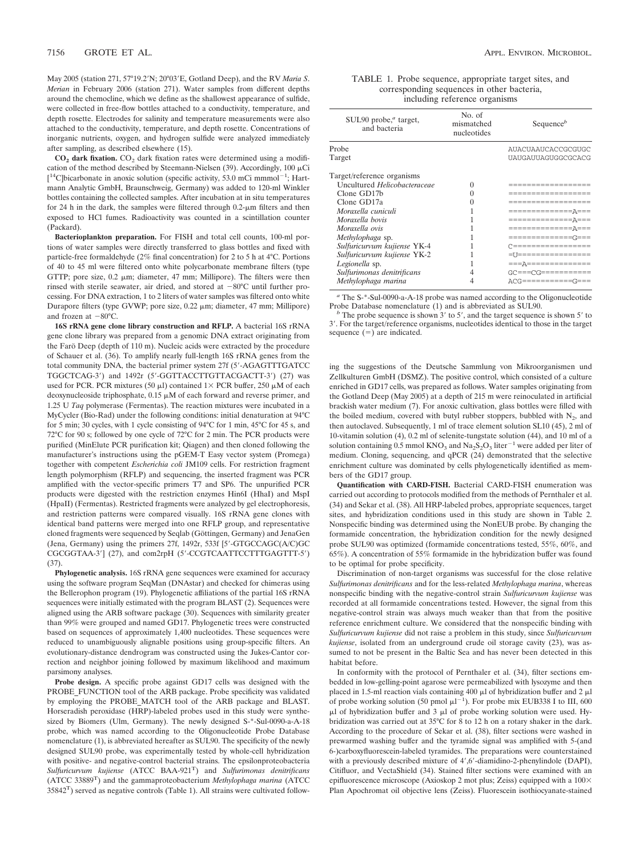May 2005 (station 271, 57°19.2'N; 20°03'E, Gotland Deep), and the RV Maria S. *Merian* in February 2006 (station 271). Water samples from different depths around the chemocline, which we define as the shallowest appearance of sulfide, were collected in free-flow bottles attached to a conductivity, temperature, and depth rosette. Electrodes for salinity and temperature measurements were also attached to the conductivity, temperature, and depth rosette. Concentrations of inorganic nutrients, oxygen, and hydrogen sulfide were analyzed immediately after sampling, as described elsewhere (15).

CO<sub>2</sub> dark fixation. CO<sub>2</sub> dark fixation rates were determined using a modification of the method described by Steemann-Nielsen (39). Accordingly,  $100 \mu$ Ci  $[$ <sup>14</sup>C]bicarbonate in anoxic solution (specific activity, 53.0 mCi mmmol<sup>-1</sup>; Hartmann Analytic GmbH, Braunschweig, Germany) was added to 120-ml Winkler bottles containing the collected samples. After incubation at in situ temperatures for 24 h in the dark, the samples were filtered through  $0.2$ - $\mu$ m filters and then exposed to HCl fumes. Radioactivity was counted in a scintillation counter (Packard).

**Bacterioplankton preparation.** For FISH and total cell counts, 100-ml portions of water samples were directly transferred to glass bottles and fixed with particle-free formaldehyde (2% final concentration) for 2 to 5 h at 4°C. Portions of 40 to 45 ml were filtered onto white polycarbonate membrane filters (type GTTP; pore size,  $0.2 \mu m$ ; diameter,  $47 \mu m$ ; Millipore). The filters were then rinsed with sterile seawater, air dried, and stored at  $-80^{\circ}$ C until further processing. For DNA extraction, 1 to 2 liters of water samples was filtered onto white Durapore filters (type GVWP; pore size, 0.22 µm; diameter, 47 mm; Millipore) and frozen at  $-80^{\circ}$ C.

**16S rRNA gene clone library construction and RFLP.** A bacterial 16S rRNA gene clone library was prepared from a genomic DNA extract originating from the Farö Deep (depth of 110 m). Nucleic acids were extracted by the procedure of Schauer et al. (36). To amplify nearly full-length 16S rRNA genes from the total community DNA, the bacterial primer system 27f (5-AGAGTTTGATCC TGGCTCAG-3) and 1492r (5-GGTTACCTTGTTACGACTT-3) (27) was used for PCR. PCR mixtures (50  $\mu$ l) contained 1× PCR buffer, 250  $\mu$ M of each deoxynucleoside triphosphate,  $0.15 \mu M$  of each forward and reverse primer, and 1.25 U *Taq* polymerase (Fermentas). The reaction mixtures were incubated in a MyCycler (Bio-Rad) under the following conditions: initial denaturation at 94°C for 5 min; 30 cycles, with 1 cycle consisting of 94°C for 1 min, 45°C for 45 s, and 72°C for 90 s; followed by one cycle of 72°C for 2 min. The PCR products were purified (MinElute PCR purification kit; Qiagen) and then cloned following the manufacturer's instructions using the pGEM-T Easy vector system (Promega) together with competent *Escherichia coli* JM109 cells. For restriction fragment length polymorphism (RFLP) and sequencing, the inserted fragment was PCR amplified with the vector-specific primers T7 and SP6. The unpurified PCR products were digested with the restriction enzymes Hin6I (HhaI) and MspI (HpaII) (Fermentas). Restricted fragments were analyzed by gel electrophoresis, and restriction patterns were compared visually. 16S rRNA gene clones with identical band patterns were merged into one RFLP group, and representative cloned fragments were sequenced by Seqlab (Göttingen, Germany) and JenaGen (Jena, Germany) using the primers 27f, 1492r, 533f [5-GTGCCAGC(A/C)GC CGCGGTAA-3'] (27), and com2rpH (5'-CCGTCAATTCCTTTGAGTTT-5')  $(37)$ 

**Phylogenetic analysis.** 16S rRNA gene sequences were examined for accuracy using the software program SeqMan (DNAstar) and checked for chimeras using the Bellerophon program (19). Phylogenetic affiliations of the partial 16S rRNA sequences were initially estimated with the program BLAST (2). Sequences were aligned using the ARB software package (30). Sequences with similarity greater than 99% were grouped and named GD17. Phylogenetic trees were constructed based on sequences of approximately 1,400 nucleotides. These sequences were reduced to unambiguously alignable positions using group-specific filters. An evolutionary-distance dendrogram was constructed using the Jukes-Cantor correction and neighbor joining followed by maximum likelihood and maximum parsimony analyses.

**Probe design.** A specific probe against GD17 cells was designed with the PROBE\_FUNCTION tool of the ARB package. Probe specificity was validated by employing the PROBE\_MATCH tool of the ARB package and BLAST. Horseradish peroxidase (HRP)-labeled probes used in this study were synthesized by Biomers (Ulm, Germany). The newly designed S-\*-Sul-0090-a-A-18 probe, which was named according to the Oligonucleotide Probe Database nomenclature (1), is abbreviated hereafter as SUL90. The specificity of the newly designed SUL90 probe, was experimentally tested by whole-cell hybridization with positive- and negative-control bacterial strains. The epsilonproteobacteria *Sulfuricurvum kujiense* (ATCC BAA-921T) and *Sulfurimonas denitrificans* (ATCC 33889T) and the gammaproteobacterium *Methylophaga marina* (ATCC 35842T) served as negative controls (Table 1). All strains were cultivated follow-

| TABLE 1. Probe sequence, appropriate target sites, and |  |
|--------------------------------------------------------|--|
| corresponding sequences in other bacteria,             |  |
| including reference organisms                          |  |

| SUL90 probe, $^a$ target,<br>and bacteria | No. of<br>mismatched<br>nucleotides | Sequence $\mathcal{P}$ |
|-------------------------------------------|-------------------------------------|------------------------|
| Probe                                     |                                     | AUACUAAUCACCGCGUGC     |
| Target                                    |                                     | UAUGAUUAGUGGCGCACG     |
| Target/reference organisms                |                                     |                        |
| Uncultured Helicobacteraceae              | 0                                   |                        |
| Clone GD17b                               | 0                                   | -------------          |
| Clone GD17a                               |                                     | -------------          |
| Moraxella cuniculi                        |                                     | ==============A===     |
| Moraxella bovis                           |                                     | ==============A===     |
| Moraxella ovis                            |                                     | ==============A===     |
| Methylophaga sp.                          |                                     | ==============(===     |
| Sulfuricurvum kujiense YK-4               |                                     | $C$ ================== |
| Sulfuricurvum kujiense YK-2               |                                     | =11=================   |
| Legionella sp.                            |                                     | === A==============    |
| Sulfurimonas denitrificans                |                                     |                        |
| Methylophaga marina                       |                                     | ACG============G===    |
|                                           |                                     |                        |

<sup>a</sup> The S-\*-Sul-0090-a-A-18 probe was named according to the Oligonucleotide Probe Database nomenclature (1) and is abbreviated as SUL90.

The probe sequence is shown 3' to 5', and the target sequence is shown 5' to 3. For the target/reference organisms, nucleotides identical to those in the target sequence  $(=)$  are indicated.

ing the suggestions of the Deutsche Sammlung von Mikroorganismen und Zellkulturen GmbH (DSMZ). The positive control, which consisted of a culture enriched in GD17 cells, was prepared as follows. Water samples originating from the Gotland Deep (May 2005) at a depth of 215 m were reinoculated in artificial brackish water medium (7). For anoxic cultivation, glass bottles were filled with the boiled medium, covered with butyl rubber stoppers, bubbled with  $N_2$ , and then autoclaved. Subsequently, 1 ml of trace element solution SL10 (45), 2 ml of 10-vitamin solution (4), 0.2 ml of selenite-tungstate solution (44), and 10 ml of a solution containing 0.5 mmol  $KNO_3$  and  $Na_2S_2O_3$  liter<sup>-1</sup> were added per liter of medium. Cloning, sequencing, and qPCR (24) demonstrated that the selective enrichment culture was dominated by cells phylogenetically identified as members of the GD17 group.

**Quantification with CARD-FISH.** Bacterial CARD-FISH enumeration was carried out according to protocols modified from the methods of Pernthaler et al. (34) and Sekar et al. (38). All HRP-labeled probes, appropriate sequences, target sites, and hybridization conditions used in this study are shown in Table 2. Nonspecific binding was determined using the NonEUB probe. By changing the formamide concentration, the hybridization condition for the newly designed probe SUL90 was optimized (formamide concentrations tested, 55%, 60%, and 65%). A concentration of 55% formamide in the hybridization buffer was found to be optimal for probe specificity.

Discrimination of non-target organisms was successful for the close relative *Sulfurimonas denitrificans* and for the less-related *Methylophaga marina*, whereas nonspecific binding with the negative-control strain *Sulfuricurvum kujiense* was recorded at all formamide concentrations tested. However, the signal from this negative-control strain was always much weaker than that from the positive reference enrichment culture. We considered that the nonspecific binding with *Sulfuricurvum kujiense* did not raise a problem in this study, since *Sulfuricurvum kujiense*, isolated from an underground crude oil storage cavity (23), was assumed to not be present in the Baltic Sea and has never been detected in this habitat before.

In conformity with the protocol of Pernthaler et al. (34), filter sections embedded in low-gelling-point agarose were permeabilized with lysozyme and then placed in 1.5-ml reaction vials containing 400  $\mu l$  of hybridization buffer and 2  $\mu l$ of probe working solution (50 pmol  $\mu$ l<sup>-1</sup>). For probe mix EUB338 I to III, 600  $\mu$ l of hybridization buffer and 3  $\mu$ l of probe working solution were used. Hybridization was carried out at 35°C for 8 to 12 h on a rotary shaker in the dark. According to the procedure of Sekar et al. (38), filter sections were washed in prewarmed washing buffer and the tyramide signal was amplified with 5-(and 6-)carboxyfluorescein-labeled tyramides. The preparations were counterstained with a previously described mixture of 4',6'-diamidino-2-phenylindole (DAPI), Citifluor, and VectaShield (34). Stained filter sections were examined with an epifluorescence microscope (Axioskop 2 mot plus; Zeiss) equipped with a  $100\times$ Plan Apochromat oil objective lens (Zeiss). Fluorescein isothiocyanate-stained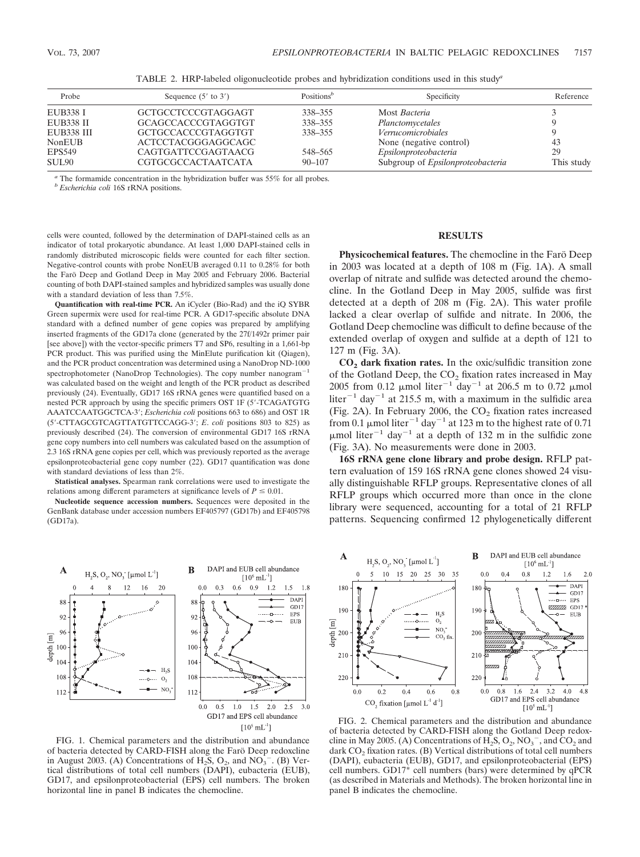| Probe             | Sequence $(5'$ to $3')$   | Positions <sup><math>b</math></sup> | Specificity                              | Reference  |
|-------------------|---------------------------|-------------------------------------|------------------------------------------|------------|
| EUB338 I          | GCTGCCTCCCGTAGGAGT        | 338-355                             | Most Bacteria                            |            |
| <b>EUB338 II</b>  | <b>GCAGCCACCCGTAGGTGT</b> | 338-355                             | Planctomycetales                         |            |
| <b>EUB338 III</b> | GCTGCCACCCGTAGGTGT        | 338-355                             | <i>Verrucomicrobiales</i>                |            |
| <b>NonEUB</b>     | ACTCCTACGGGAGGCAGC        |                                     | None (negative control)                  | 43         |
| <b>EPS549</b>     | CAGTGATTCCGAGTAACG        | 548-565                             | Epsilonproteobacteria                    | 29         |
| SUL <sub>90</sub> | <b>CGTGCGCCACTAATCATA</b> | $90 - 107$                          | Subgroup of <i>Epsilonproteobacteria</i> | This study |

TABLE 2. HRP-labeled oligonucleotide probes and hybridization conditions used in this study*<sup>a</sup>*

*<sup>a</sup>* The formamide concentration in the hybridization buffer was 55% for all probes.

*<sup>b</sup> Escherichia coli* 16S rRNA positions.

cells were counted, followed by the determination of DAPI-stained cells as an indicator of total prokaryotic abundance. At least 1,000 DAPI-stained cells in randomly distributed microscopic fields were counted for each filter section. Negative-control counts with probe NonEUB averaged 0.11 to 0.28% for both the Farö Deep and Gotland Deep in May 2005 and February 2006. Bacterial counting of both DAPI-stained samples and hybridized samples was usually done with a standard deviation of less than 7.5%.

**Quantification with real-time PCR.** An iCycler (Bio-Rad) and the iQ SYBR Green supermix were used for real-time PCR. A GD17-specific absolute DNA standard with a defined number of gene copies was prepared by amplifying inserted fragments of the GD17a clone (generated by the 27f/1492r primer pair [see above]) with the vector-specific primers T7 and SP6, resulting in a 1,661-bp PCR product. This was purified using the MinElute purification kit (Qiagen), and the PCR product concentration was determined using a NanoDrop ND-1000 spectrophotometer (NanoDrop Technologies). The copy number nanogram $^{-1}$ was calculated based on the weight and length of the PCR product as described previously (24). Eventually, GD17 16S rRNA genes were quantified based on a nested PCR approach by using the specific primers OST 1F (5-TCAGATGTG AAATCCAATGGCTCA-3; *Escherichia coli* positions 663 to 686) and OST 1R (5-CTTAGCGTCAGTTATGTTCCAGG-3; *E*. *coli* positions 803 to 825) as previously described (24). The conversion of environmental GD17 16S rRNA gene copy numbers into cell numbers was calculated based on the assumption of 2.3 16S rRNA gene copies per cell, which was previously reported as the average epsilonproteobacterial gene copy number (22). GD17 quantification was done with standard deviations of less than 2%.

**Statistical analyses.** Spearman rank correlations were used to investigate the relations among different parameters at significance levels of  $P \leq 0.01$ .

**Nucleotide sequence accession numbers.** Sequences were deposited in the GenBank database under accession numbers EF405797 (GD17b) and EF405798 (GD17a).



FIG. 1. Chemical parameters and the distribution and abundance of bacteria detected by CARD-FISH along the Faro¨ Deep redoxcline in August 2003. (A) Concentrations of  $H_2S$ ,  $O_2$ , and  $NO_3^-$ . (B) Vertical distributions of total cell numbers (DAPI), eubacteria (EUB), GD17, and epsilonproteobacterial (EPS) cell numbers. The broken horizontal line in panel B indicates the chemocline.

# **RESULTS**

**Physicochemical features.** The chemocline in the Faro Deep in 2003 was located at a depth of 108 m (Fig. 1A). A small overlap of nitrate and sulfide was detected around the chemocline. In the Gotland Deep in May 2005, sulfide was first detected at a depth of 208 m (Fig. 2A). This water profile lacked a clear overlap of sulfide and nitrate. In 2006, the Gotland Deep chemocline was difficult to define because of the extended overlap of oxygen and sulfide at a depth of 121 to 127 m (Fig. 3A).

**CO2 dark fixation rates.** In the oxic/sulfidic transition zone of the Gotland Deep, the  $CO_2$  fixation rates increased in May 2005 from 0.12  $\mu$ mol liter<sup>-1</sup> day<sup>-1</sup> at 206.5 m to 0.72  $\mu$ mol liter<sup>-1</sup> day<sup>-1</sup> at 215.5 m, with a maximum in the sulfidic area (Fig. 2A). In February 2006, the  $CO<sub>2</sub>$  fixation rates increased from 0.1  $\mu$ mol liter<sup>-1</sup> day<sup>-1</sup> at 123 m to the highest rate of 0.71  $\mu$ mol liter<sup>-1</sup> day<sup>-1</sup> at a depth of 132 m in the sulfidic zone (Fig. 3A). No measurements were done in 2003.

**16S rRNA gene clone library and probe design.** RFLP pattern evaluation of 159 16S rRNA gene clones showed 24 visually distinguishable RFLP groups. Representative clones of all RFLP groups which occurred more than once in the clone library were sequenced, accounting for a total of 21 RFLP patterns. Sequencing confirmed 12 phylogenetically different



FIG. 2. Chemical parameters and the distribution and abundance of bacteria detected by CARD-FISH along the Gotland Deep redoxcline in May 2005. (A) Concentrations of  $H_2$ S,  $O_2$ , N $O_3^-$ , and C $O_2$  and dark  $CO<sub>2</sub>$  fixation rates. (B) Vertical distributions of total cell numbers (DAPI), eubacteria (EUB), GD17, and epsilonproteobacterial (EPS) cell numbers. GD17\* cell numbers (bars) were determined by qPCR (as described in Materials and Methods). The broken horizontal line in panel B indicates the chemocline.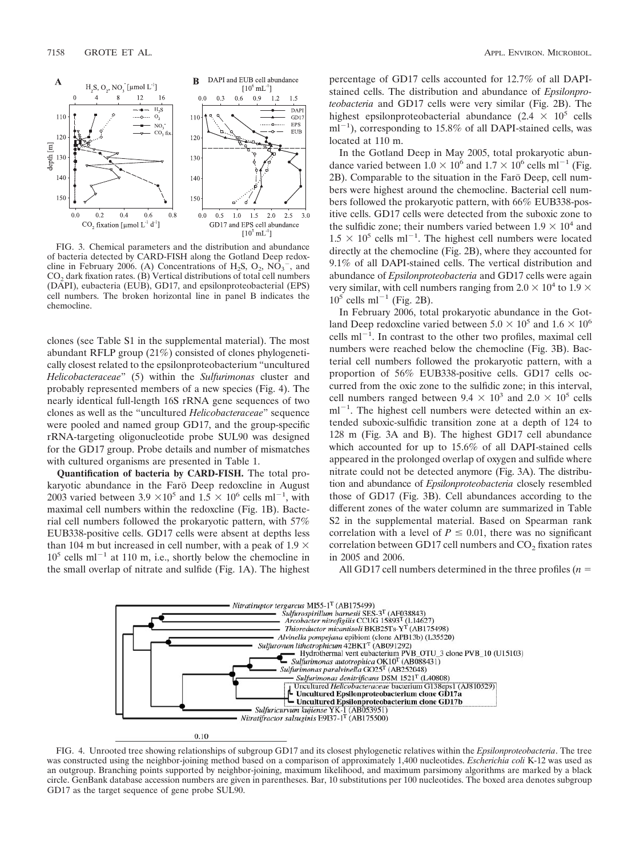

FIG. 3. Chemical parameters and the distribution and abundance of bacteria detected by CARD-FISH along the Gotland Deep redoxcline in February 2006. (A) Concentrations of  $H_2S$ ,  $O_2$ ,  $N\dot{O}_3^-$ , and CO<sub>2</sub> dark fixation rates. (B) Vertical distributions of total cell numbers (DAPI), eubacteria (EUB), GD17, and epsilonproteobacterial (EPS) cell numbers. The broken horizontal line in panel B indicates the chemocline.

clones (see Table S1 in the supplemental material). The most abundant RFLP group (21%) consisted of clones phylogenetically closest related to the epsilonproteobacterium "uncultured *Helicobacteraceae*" (5) within the *Sulfurimonas* cluster and probably represented members of a new species (Fig. 4). The nearly identical full-length 16S rRNA gene sequences of two clones as well as the "uncultured *Helicobacteraceae*" sequence were pooled and named group GD17, and the group-specific rRNA-targeting oligonucleotide probe SUL90 was designed for the GD17 group. Probe details and number of mismatches with cultured organisms are presented in Table 1.

**Quantification of bacteria by CARD-FISH.** The total prokaryotic abundance in the Farö Deep redoxcline in August 2003 varied between 3.9  $\times 10^5$  and  $1.5 \times 10^6$  cells ml<sup>-1</sup>, with maximal cell numbers within the redoxcline (Fig. 1B). Bacterial cell numbers followed the prokaryotic pattern, with 57% EUB338-positive cells. GD17 cells were absent at depths less than 104 m but increased in cell number, with a peak of 1.9  $\times$  $10^5$  cells ml<sup>-1</sup> at 110 m, i.e., shortly below the chemocline in the small overlap of nitrate and sulfide (Fig. 1A). The highest

percentage of GD17 cells accounted for 12.7% of all DAPIstained cells. The distribution and abundance of *Epsilonproteobacteria* and GD17 cells were very similar (Fig. 2B). The highest epsilonproteobacterial abundance  $(2.4 \times 10^5 \text{ cells})$  $ml^{-1}$ ), corresponding to 15.8% of all DAPI-stained cells, was located at 110 m.

In the Gotland Deep in May 2005, total prokaryotic abundance varied between  $1.0 \times 10^6$  and  $1.7 \times 10^6$  cells ml<sup>-1</sup> (Fig. 2B). Comparable to the situation in the Farö Deep, cell numbers were highest around the chemocline. Bacterial cell numbers followed the prokaryotic pattern, with 66% EUB338-positive cells. GD17 cells were detected from the suboxic zone to the sulfidic zone; their numbers varied between  $1.9 \times 10^4$  and  $1.5 \times 10^5$  cells ml<sup>-1</sup>. The highest cell numbers were located directly at the chemocline (Fig. 2B), where they accounted for 9.1% of all DAPI-stained cells. The vertical distribution and abundance of *Epsilonproteobacteria* and GD17 cells were again very similar, with cell numbers ranging from 2.0  $\times$  10<sup>4</sup> to 1.9  $\times$  $10^5$  cells ml<sup>-1</sup> (Fig. 2B).

In February 2006, total prokaryotic abundance in the Gotland Deep redoxcline varied between  $5.0 \times 10^5$  and  $1.6 \times 10^6$ cells  $ml^{-1}$ . In contrast to the other two profiles, maximal cell numbers were reached below the chemocline (Fig. 3B). Bacterial cell numbers followed the prokaryotic pattern, with a proportion of 56% EUB338-positive cells. GD17 cells occurred from the oxic zone to the sulfidic zone; in this interval, cell numbers ranged between  $9.4 \times 10^3$  and  $2.0 \times 10^5$  cells  $ml^{-1}$ . The highest cell numbers were detected within an extended suboxic-sulfidic transition zone at a depth of 124 to 128 m (Fig. 3A and B). The highest GD17 cell abundance which accounted for up to 15.6% of all DAPI-stained cells appeared in the prolonged overlap of oxygen and sulfide where nitrate could not be detected anymore (Fig. 3A). The distribution and abundance of *Epsilonproteobacteria* closely resembled those of GD17 (Fig. 3B). Cell abundances according to the different zones of the water column are summarized in Table S2 in the supplemental material. Based on Spearman rank correlation with a level of  $P \leq 0.01$ , there was no significant correlation between GD17 cell numbers and CO<sub>2</sub> fixation rates in 2005 and 2006.

All GD17 cell numbers determined in the three profiles (*n*



FIG. 4. Unrooted tree showing relationships of subgroup GD17 and its closest phylogenetic relatives within the *Epsilonproteobacteria*. The tree was constructed using the neighbor-joining method based on a comparison of approximately 1,400 nucleotides. *Escherichia coli* K-12 was used as an outgroup. Branching points supported by neighbor-joining, maximum likelihood, and maximum parsimony algorithms are marked by a black circle. GenBank database accession numbers are given in parentheses. Bar, 10 substitutions per 100 nucleotides. The boxed area denotes subgroup GD17 as the target sequence of gene probe SUL90.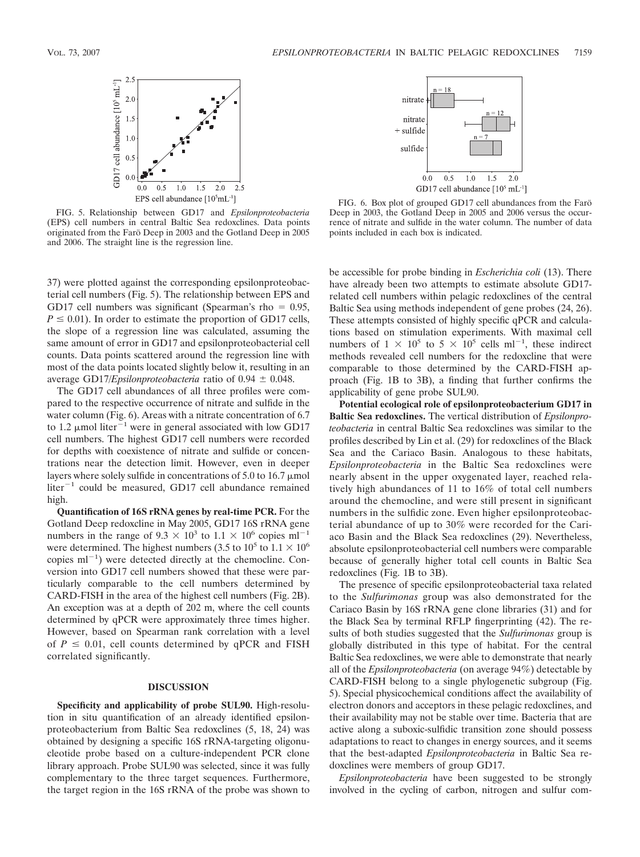

FIG. 5. Relationship between GD17 and *Epsilonproteobacteria* (EPS) cell numbers in central Baltic Sea redoxclines. Data points originated from the Faro¨ Deep in 2003 and the Gotland Deep in 2005 and 2006. The straight line is the regression line.

37) were plotted against the corresponding epsilonproteobacterial cell numbers (Fig. 5). The relationship between EPS and GD17 cell numbers was significant (Spearman's rho  $= 0.95$ ,  $P \leq 0.01$ ). In order to estimate the proportion of GD17 cells, the slope of a regression line was calculated, assuming the same amount of error in GD17 and epsilonproteobacterial cell counts. Data points scattered around the regression line with most of the data points located slightly below it, resulting in an average GD17/*Epsilonproteobacteria* ratio of  $0.94 \pm 0.048$ .

The GD17 cell abundances of all three profiles were compared to the respective occurrence of nitrate and sulfide in the water column (Fig. 6). Areas with a nitrate concentration of 6.7 to 1.2  $\mu$ mol liter<sup>-1</sup> were in general associated with low GD17 cell numbers. The highest GD17 cell numbers were recorded for depths with coexistence of nitrate and sulfide or concentrations near the detection limit. However, even in deeper layers where solely sulfide in concentrations of 5.0 to 16.7  $\mu$ mol liter<sup>-1</sup> could be measured, GD17 cell abundance remained high.

**Quantification of 16S rRNA genes by real-time PCR.** For the Gotland Deep redoxcline in May 2005, GD17 16S rRNA gene numbers in the range of  $9.3 \times 10^3$  to  $1.1 \times 10^6$  copies ml<sup>-1</sup> were determined. The highest numbers (3.5 to  $10^5$  to  $1.1 \times 10^6$ copies  $ml^{-1}$ ) were detected directly at the chemocline. Conversion into GD17 cell numbers showed that these were particularly comparable to the cell numbers determined by CARD-FISH in the area of the highest cell numbers (Fig. 2B). An exception was at a depth of 202 m, where the cell counts determined by qPCR were approximately three times higher. However, based on Spearman rank correlation with a level of  $P \leq 0.01$ , cell counts determined by qPCR and FISH correlated significantly.

## **DISCUSSION**

**Specificity and applicability of probe SUL90.** High-resolution in situ quantification of an already identified epsilonproteobacterium from Baltic Sea redoxclines (5, 18, 24) was obtained by designing a specific 16S rRNA-targeting oligonucleotide probe based on a culture-independent PCR clone library approach. Probe SUL90 was selected, since it was fully complementary to the three target sequences. Furthermore, the target region in the 16S rRNA of the probe was shown to



FIG. 6. Box plot of grouped GD17 cell abundances from the Farö Deep in 2003, the Gotland Deep in 2005 and 2006 versus the occurrence of nitrate and sulfide in the water column. The number of data points included in each box is indicated.

be accessible for probe binding in *Escherichia coli* (13). There have already been two attempts to estimate absolute GD17 related cell numbers within pelagic redoxclines of the central Baltic Sea using methods independent of gene probes (24, 26). These attempts consisted of highly specific qPCR and calculations based on stimulation experiments. With maximal cell numbers of  $1 \times 10^5$  to  $5 \times 10^5$  cells ml<sup>-1</sup>, these indirect methods revealed cell numbers for the redoxcline that were comparable to those determined by the CARD-FISH approach (Fig. 1B to 3B), a finding that further confirms the applicability of gene probe SUL90.

**Potential ecological role of epsilonproteobacterium GD17 in Baltic Sea redoxclines.** The vertical distribution of *Epsilonproteobacteria* in central Baltic Sea redoxclines was similar to the profiles described by Lin et al. (29) for redoxclines of the Black Sea and the Cariaco Basin. Analogous to these habitats, *Epsilonproteobacteria* in the Baltic Sea redoxclines were nearly absent in the upper oxygenated layer, reached relatively high abundances of 11 to 16% of total cell numbers around the chemocline, and were still present in significant numbers in the sulfidic zone. Even higher epsilonproteobacterial abundance of up to 30% were recorded for the Cariaco Basin and the Black Sea redoxclines (29). Nevertheless, absolute epsilonproteobacterial cell numbers were comparable because of generally higher total cell counts in Baltic Sea redoxclines (Fig. 1B to 3B).

The presence of specific epsilonproteobacterial taxa related to the *Sulfurimonas* group was also demonstrated for the Cariaco Basin by 16S rRNA gene clone libraries (31) and for the Black Sea by terminal RFLP fingerprinting (42). The results of both studies suggested that the *Sulfurimonas* group is globally distributed in this type of habitat. For the central Baltic Sea redoxclines, we were able to demonstrate that nearly all of the *Epsilonproteobacteria* (on average 94%) detectable by CARD-FISH belong to a single phylogenetic subgroup (Fig. 5). Special physicochemical conditions affect the availability of electron donors and acceptors in these pelagic redoxclines, and their availability may not be stable over time. Bacteria that are active along a suboxic-sulfidic transition zone should possess adaptations to react to changes in energy sources, and it seems that the best-adapted *Epsilonproteobacteria* in Baltic Sea redoxclines were members of group GD17.

*Epsilonproteobacteria* have been suggested to be strongly involved in the cycling of carbon, nitrogen and sulfur com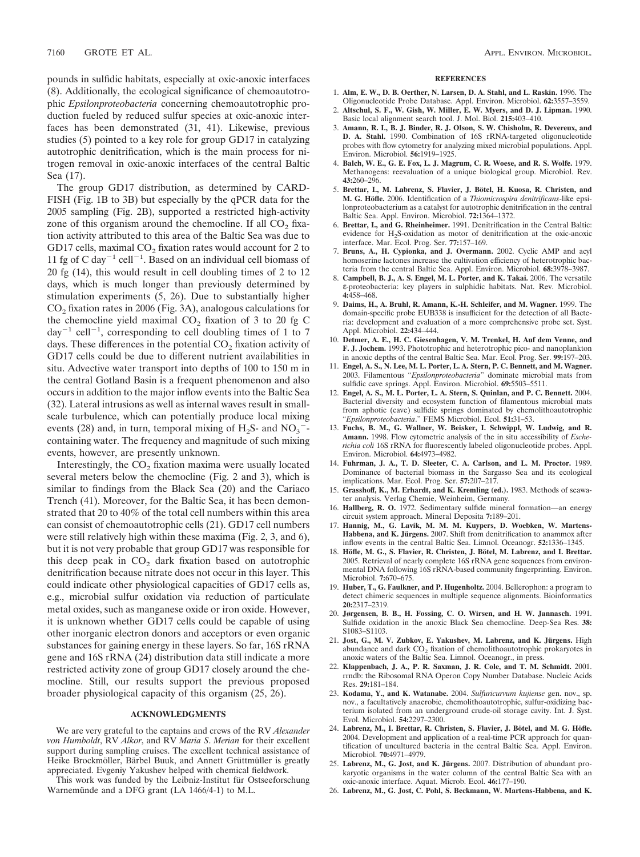pounds in sulfidic habitats, especially at oxic-anoxic interfaces (8). Additionally, the ecological significance of chemoautotrophic *Epsilonproteobacteria* concerning chemoautotrophic production fueled by reduced sulfur species at oxic-anoxic interfaces has been demonstrated (31, 41). Likewise, previous studies (5) pointed to a key role for group GD17 in catalyzing autotrophic denitrification, which is the main process for nitrogen removal in oxic-anoxic interfaces of the central Baltic Sea (17).

The group GD17 distribution, as determined by CARD-FISH (Fig. 1B to 3B) but especially by the qPCR data for the 2005 sampling (Fig. 2B), supported a restricted high-activity zone of this organism around the chemocline. If all  $CO<sub>2</sub>$  fixation activity attributed to this area of the Baltic Sea was due to GD17 cells, maximal  $CO<sub>2</sub>$  fixation rates would account for 2 to 11 fg of C day<sup>-1</sup> cell<sup>-1</sup>. Based on an individual cell biomass of 20 fg (14), this would result in cell doubling times of 2 to 12 days, which is much longer than previously determined by stimulation experiments (5, 26). Due to substantially higher CO<sub>2</sub> fixation rates in 2006 (Fig. 3A), analogous calculations for the chemocline yield maximal  $CO<sub>2</sub>$  fixation of 3 to 20 fg C  $day^{-1}$  cell<sup>-1</sup>, corresponding to cell doubling times of 1 to 7 days. These differences in the potential  $CO<sub>2</sub>$  fixation activity of GD17 cells could be due to different nutrient availabilities in situ. Advective water transport into depths of 100 to 150 m in the central Gotland Basin is a frequent phenomenon and also occurs in addition to the major inflow events into the Baltic Sea (32). Lateral intrusions as well as internal waves result in smallscale turbulence, which can potentially produce local mixing events (28) and, in turn, temporal mixing of  $H_2S$ - and  $NO_3$ <sup>-</sup>containing water. The frequency and magnitude of such mixing events, however, are presently unknown.

Interestingly, the  $CO<sub>2</sub>$  fixation maxima were usually located several meters below the chemocline (Fig. 2 and 3), which is similar to findings from the Black Sea (20) and the Cariaco Trench (41). Moreover, for the Baltic Sea, it has been demonstrated that 20 to 40% of the total cell numbers within this area can consist of chemoautotrophic cells (21). GD17 cell numbers were still relatively high within these maxima (Fig. 2, 3, and 6), but it is not very probable that group GD17 was responsible for this deep peak in  $CO<sub>2</sub>$  dark fixation based on autotrophic denitrification because nitrate does not occur in this layer. This could indicate other physiological capacities of GD17 cells as, e.g., microbial sulfur oxidation via reduction of particulate metal oxides, such as manganese oxide or iron oxide. However, it is unknown whether GD17 cells could be capable of using other inorganic electron donors and acceptors or even organic substances for gaining energy in these layers. So far, 16S rRNA gene and 16S rRNA (24) distribution data still indicate a more restricted activity zone of group GD17 closely around the chemocline. Still, our results support the previous proposed broader physiological capacity of this organism (25, 26).

#### **ACKNOWLEDGMENTS**

We are very grateful to the captains and crews of the RV *Alexander von Humboldt*, RV *Alkor*, and RV *Maria S*. *Merian* for their excellent support during sampling cruises. The excellent technical assistance of Heike Brockmöller, Bärbel Buuk, and Annett Grüttmüller is greatly appreciated. Evgeniy Yakushev helped with chemical fieldwork.

This work was funded by the Leibniz-Institut für Ostseeforschung Warnemünde and a DFG grant (LA 1466/4-1) to M.L.

#### **REFERENCES**

- 1. **Alm, E. W., D. B. Oerther, N. Larsen, D. A. Stahl, and L. Raskin.** 1996. The Oligonucleotide Probe Database. Appl. Environ. Microbiol. **62:**3557–3559.
- 2. **Altschul, S. F., W. Gish, W. Miller, E. W. Myers, and D. J. Lipman.** 1990. Basic local alignment search tool. J. Mol. Biol. **215:**403–410.
- 3. **Amann, R. I., B. J. Binder, R. J. Olson, S. W. Chisholm, R. Devereux, and D. A. Stahl.** 1990. Combination of 16S rRNA-targeted oligonucleotide probes with flow cytometry for analyzing mixed microbial populations. Appl. Environ. Microbiol. **56:**1919–1925.
- 4. **Balch, W. E., G. E. Fox, L. J. Magrum, C. R. Woese, and R. S. Wolfe.** 1979. Methanogens: reevaluation of a unique biological group. Microbiol. Rev. **43:**260–296.
- 5. Brettar, I., M. Labrenz, S. Flavier, J. Bötel, H. Kuosa, R. Christen, and **M. G. Ho¨fle.** 2006. Identification of a *Thiomicrospira denitrificans*-like epsilonproteobacterium as a catalyst for autotrophic denitrification in the central Baltic Sea. Appl. Environ. Microbiol. **72:**1364–1372.
- 6. **Brettar, I., and G. Rheinheimer.** 1991. Denitrification in the Central Baltic: evidence for H2S-oxidation as motor of denitrification at the oxic-anoxic interface. Mar. Ecol. Prog. Ser. **77:**157–169.
- 7. **Bruns, A., H. Cypionka, and J. Overmann.** 2002. Cyclic AMP and acyl homoserine lactones increase the cultivation efficiency of heterotrophic bacteria from the central Baltic Sea. Appl. Environ. Microbiol. **68:**3978–3987.
- 8. **Campbell, B. J., A. S. Engel, M. L. Porter, and K. Takai.** 2006. The versatile ε-proteobacteria: key players in sulphidic habitats. Nat. Rev. Microbiol. **4:**458–468.
- 9. **Daims, H., A. Bruhl, R. Amann, K.-H. Schleifer, and M. Wagner.** 1999. The domain-specific probe EUB338 is insufficient for the detection of all Bacteria: development and evaluation of a more comprehensive probe set. Syst. Appl. Microbiol. **22:**434–444.
- 10. **Detmer, A. E., H. C. Giesenhagen, V. M. Trenkel, H. Auf dem Venne, and F. J. Jochem.** 1993. Phototrophic and heterotrophic pico- and nanoplankton in anoxic depths of the central Baltic Sea. Mar. Ecol. Prog. Ser. **99:**197–203.
- 11. **Engel, A. S., N. Lee, M. L. Porter, L. A. Stern, P. C. Bennett, and M. Wagner.** 2003. Filamentous "*Epsilonproteobacteria*" dominate microbial mats from sulfidic cave springs. Appl. Environ. Microbiol. **69:**5503–5511.
- 12. **Engel, A. S., M. L. Porter, L. A. Stern, S. Quinlan, and P. C. Bennett.** 2004. Bacterial diversity and ecosystem function of filamentous microbial mats from aphotic (cave) sulfidic springs dominated by chemolithoautotrophic "*Epsilonproteobacteria*." FEMS Microbiol. Ecol. **51:**31–53.
- 13. **Fuchs, B. M., G. Wallner, W. Beisker, I. Schwippl, W. Ludwig, and R. Amann.** 1998. Flow cytometric analysis of the in situ accessibility of *Escherichia coli* 16S rRNA for fluorescently labeled oligonucleotide probes. Appl. Environ. Microbiol. **64:**4973–4982.
- 14. **Fuhrman, J. A., T. D. Sleeter, C. A. Carlson, and L. M. Proctor.** 1989. Dominance of bacterial biomass in the Sargasso Sea and its ecological implications. Mar. Ecol. Prog. Ser. **57:**207–217.
- 15. **Grasshoff, K., M. Erhardt, and K. Kremling (ed.).** 1983. Methods of seawater analysis. Verlag Chemie, Weinheim, Germany.
- 16. **Hallberg, R. O.** 1972. Sedimentary sulfide mineral formation—an energy circuit system approach. Mineral Deposita **7:**189–201.
- 17. **Hannig, M., G. Lavik, M. M. M. Kuypers, D. Woebken, W. Martens-**Habbena, and K. Jürgens. 2007. Shift from denitrification to anammox after inflow events in the central Baltic Sea. Limnol. Oceanogr. **52:**1336–1345.
- 18. **Höfle, M. G., S. Flavier, R. Christen, J. Bötel, M. Labrenz, and I. Brettar.** 2005. Retrieval of nearly complete 16S rRNA gene sequences from environmental DNA following 16S rRNA-based community fingerprinting. Environ. Microbiol. **7:**670–675.
- 19. **Huber, T., G. Faulkner, and P. Hugenholtz.** 2004. Bellerophon: a program to detect chimeric sequences in multiple sequence alignments. Bioinformatics **20:**2317–2319.
- 20. **Jørgensen, B. B., H. Fossing, C. O. Wirsen, and H. W. Jannasch.** 1991. Sulfide oxidation in the anoxic Black Sea chemocline. Deep-Sea Res. **38:** S1083–S1103.
- 21. **Jost, G., M. V. Zubkov, E. Yakushev, M. Labrenz, and K. Jürgens.** High abundance and dark  $CO<sub>2</sub>$  fixation of chemolithoautotrophic prokaryotes in anoxic waters of the Baltic Sea. Limnol. Oceanogr., in press.
- 22. **Klappenbach, J. A., P. R. Saxman, J. R. Cole, and T. M. Schmidt.** 2001. rrndb: the Ribosomal RNA Operon Copy Number Database. Nucleic Acids Res. **29:**181–184.
- 23. **Kodama, Y., and K. Watanabe.** 2004. *Sulfuricurvum kujiense* gen. nov., sp. nov., a facultatively anaerobic, chemolithoautotrophic, sulfur-oxidizing bacterium isolated from an underground crude-oil storage cavity. Int. J. Syst. Evol. Microbiol. **54:**2297–2300.
- 24. Labrenz, M., I. Brettar, R. Christen, S. Flavier, J. Bötel, and M. G. Höfle. 2004. Development and application of a real-time PCR approach for quantification of uncultured bacteria in the central Baltic Sea. Appl. Environ. Microbiol. **70:**4971–4979.
- 25. Labrenz, M., G. Jost, and K. Jürgens. 2007. Distribution of abundant prokaryotic organisms in the water column of the central Baltic Sea with an oxic-anoxic interface. Aquat. Microb. Ecol. **46:**177–190.
- 26. **Labrenz, M., G. Jost, C. Pohl, S. Beckmann, W. Martens-Habbena, and K.**